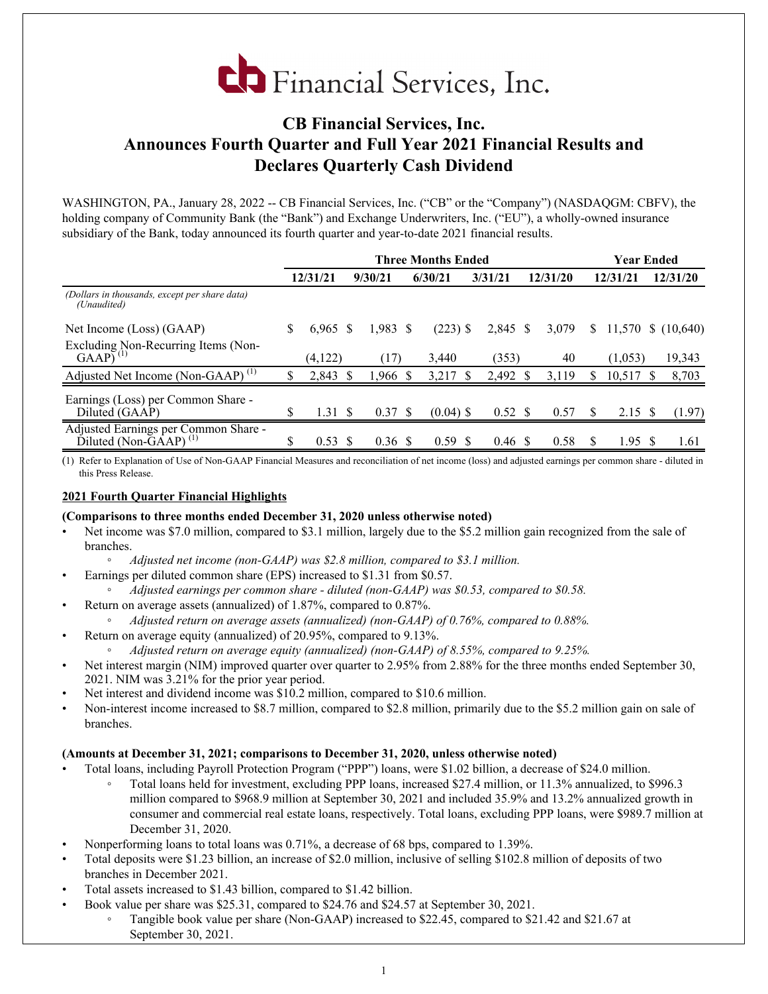

# **CB Financial Services, Inc. Announces Fourth Quarter and Full Year 2021 Financial Results and Declares Quarterly Cash Dividend**

WASHINGTON, PA., January 28, 2022 -- CB Financial Services, Inc. ("CB" or the "Company") (NASDAQGM: CBFV), the holding company of Community Bank (the "Bank") and Exchange Underwriters, Inc. ("EU"), a wholly-owned insurance subsidiary of the Bank, today announced its fourth quarter and year-to-date 2021 financial results.

|                                                                                    |    |          |    |                    |                   | Year Ended         |  |          |              |             |    |                    |
|------------------------------------------------------------------------------------|----|----------|----|--------------------|-------------------|--------------------|--|----------|--------------|-------------|----|--------------------|
|                                                                                    |    | 12/31/21 |    | 9/30/21            | 6/30/21           | 3/31/21            |  | 12/31/20 |              | 12/31/21    |    | 12/31/20           |
| (Dollars in thousands, except per share data)<br>(Unaudited)                       |    |          |    |                    |                   |                    |  |          |              |             |    |                    |
| Net Income (Loss) (GAAP)                                                           | S  | 6.965    | -S | $1,983$ \$         | $(223)$ \$        | 2,845 \$           |  | 3,079    | <sup>S</sup> |             |    | 11,570 \$ (10,640) |
| Excluding Non-Recurring Items (Non-<br>$GAAP$ <sup><math>(1)</math></sup>          |    | (4,122)  |    | (17                | 3,440             | (353)              |  | 40       |              | (1,053)     |    | 19,343             |
| Adjusted Net Income (Non-GAAP) <sup>(1)</sup>                                      | \$ | 2,843    |    | 1,966              | 3,217<br><b>S</b> | 2,492              |  | 3,119    | S            | $10,517$ \$ |    | 8,703              |
| Earnings (Loss) per Common Share -<br>Diluted (GAAP)                               | S  | 1.31S    |    | $0.37 \text{ }$ \$ | $(0.04)$ \$       | $0.52 \text{ }$ \$ |  | 0.57     |              | 2.15        |    | (1.97)             |
| Adjusted Earnings per Common Share -<br>$Diluted (Non-\overline{G}\overline{A}AP)$ | \$ | 0.53     | -S | 0.36 S             | 0.59<br>-8        | $0.46 \text{ }$ \$ |  | 0.58     | S            | 1.95        | -S | 1.61               |

(1) Refer to Explanation of Use of Non-GAAP Financial Measures and reconciliation of net income (loss) and adjusted earnings per common share - diluted in this Press Release.

#### **2021 Fourth Quarter Financial Highlights**

#### **(Comparisons to three months ended December 31, 2020 unless otherwise noted)**

- Net income was \$7.0 million, compared to \$3.1 million, largely due to the \$5.2 million gain recognized from the sale of branches.
	- *◦ Adjusted net income (non-GAAP) was \$2.8 million, compared to \$3.1 million.*
	- Earnings per diluted common share (EPS) increased to \$1.31 from \$0.57.
		- *◦ Adjusted earnings per common share diluted (non-GAAP) was \$0.53, compared to \$0.58.*
- Return on average assets (annualized) of 1.87%, compared to 0.87%.
	- *◦ Adjusted return on average assets (annualized) (non-GAAP) of 0.76%, compared to 0.88%.*
	- Return on average equity (annualized) of 20.95%, compared to 9.13%.
		- *◦ Adjusted return on average equity (annualized) (non-GAAP) of 8.55%, compared to 9.25%.*
- Net interest margin (NIM) improved quarter over quarter to 2.95% from 2.88% for the three months ended September 30, 2021. NIM was 3.21% for the prior year period.
- Net interest and dividend income was \$10.2 million, compared to \$10.6 million.
- Non-interest income increased to \$8.7 million, compared to \$2.8 million, primarily due to the \$5.2 million gain on sale of branches.

#### **(Amounts at December 31, 2021; comparisons to December 31, 2020, unless otherwise noted)**

- Total loans, including Payroll Protection Program ("PPP") loans, were \$1.02 billion, a decrease of \$24.0 million.
	- Total loans held for investment, excluding PPP loans, increased \$27.4 million, or 11.3% annualized, to \$996.3 million compared to \$968.9 million at September 30, 2021 and included 35.9% and 13.2% annualized growth in consumer and commercial real estate loans, respectively. Total loans, excluding PPP loans, were \$989.7 million at December 31, 2020.
- Nonperforming loans to total loans was 0.71%, a decrease of 68 bps, compared to 1.39%.
- Total deposits were \$1.23 billion, an increase of \$2.0 million, inclusive of selling \$102.8 million of deposits of two branches in December 2021.
- Total assets increased to \$1.43 billion, compared to \$1.42 billion.
	- Book value per share was \$25.31, compared to \$24.76 and \$24.57 at September 30, 2021.
		- Tangible book value per share (Non-GAAP) increased to \$22.45, compared to \$21.42 and \$21.67 at September 30, 2021.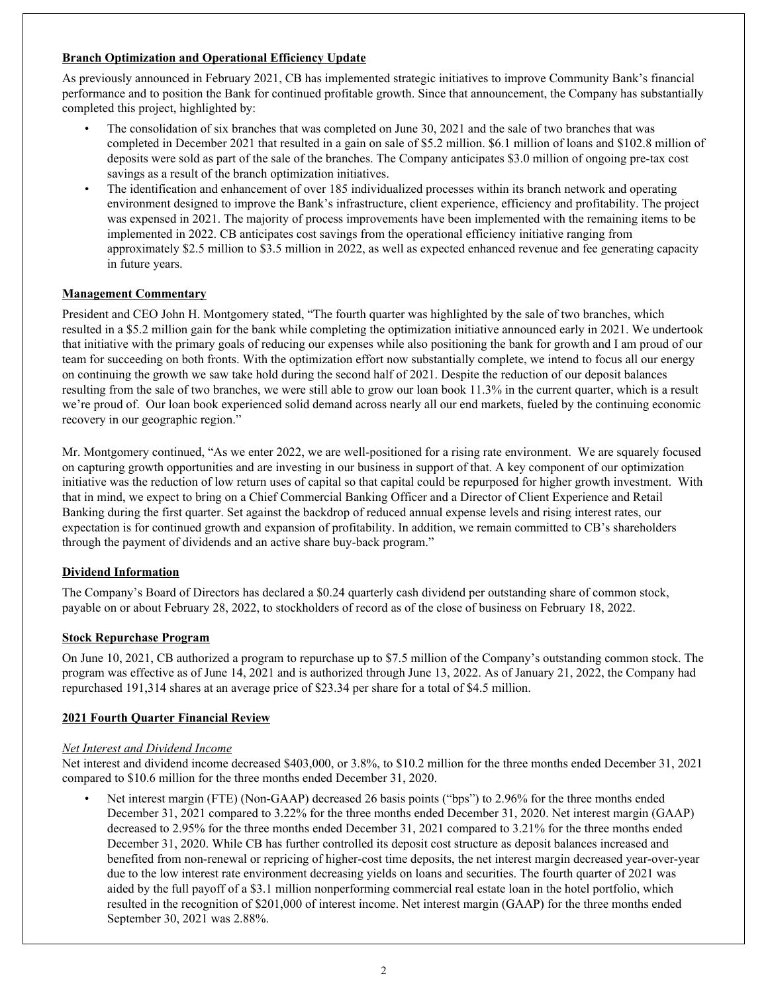# **Branch Optimization and Operational Efficiency Update**

As previously announced in February 2021, CB has implemented strategic initiatives to improve Community Bank's financial performance and to position the Bank for continued profitable growth. Since that announcement, the Company has substantially completed this project, highlighted by:

- The consolidation of six branches that was completed on June 30, 2021 and the sale of two branches that was completed in December 2021 that resulted in a gain on sale of \$5.2 million. \$6.1 million of loans and \$102.8 million of deposits were sold as part of the sale of the branches. The Company anticipates \$3.0 million of ongoing pre-tax cost savings as a result of the branch optimization initiatives.
- The identification and enhancement of over 185 individualized processes within its branch network and operating environment designed to improve the Bank's infrastructure, client experience, efficiency and profitability. The project was expensed in 2021. The majority of process improvements have been implemented with the remaining items to be implemented in 2022. CB anticipates cost savings from the operational efficiency initiative ranging from approximately \$2.5 million to \$3.5 million in 2022, as well as expected enhanced revenue and fee generating capacity in future years.

# **Management Commentary**

President and CEO John H. Montgomery stated, "The fourth quarter was highlighted by the sale of two branches, which resulted in a \$5.2 million gain for the bank while completing the optimization initiative announced early in 2021. We undertook that initiative with the primary goals of reducing our expenses while also positioning the bank for growth and I am proud of our team for succeeding on both fronts. With the optimization effort now substantially complete, we intend to focus all our energy on continuing the growth we saw take hold during the second half of 2021. Despite the reduction of our deposit balances resulting from the sale of two branches, we were still able to grow our loan book 11.3% in the current quarter, which is a result we're proud of. Our loan book experienced solid demand across nearly all our end markets, fueled by the continuing economic recovery in our geographic region."

Mr. Montgomery continued, "As we enter 2022, we are well-positioned for a rising rate environment. We are squarely focused on capturing growth opportunities and are investing in our business in support of that. A key component of our optimization initiative was the reduction of low return uses of capital so that capital could be repurposed for higher growth investment. With that in mind, we expect to bring on a Chief Commercial Banking Officer and a Director of Client Experience and Retail Banking during the first quarter. Set against the backdrop of reduced annual expense levels and rising interest rates, our expectation is for continued growth and expansion of profitability. In addition, we remain committed to CB's shareholders through the payment of dividends and an active share buy-back program."

#### **Dividend Information**

The Company's Board of Directors has declared a \$0.24 quarterly cash dividend per outstanding share of common stock, payable on or about February 28, 2022, to stockholders of record as of the close of business on February 18, 2022.

#### **Stock Repurchase Program**

On June 10, 2021, CB authorized a program to repurchase up to \$7.5 million of the Company's outstanding common stock. The program was effective as of June 14, 2021 and is authorized through June 13, 2022. As of January 21, 2022, the Company had repurchased 191,314 shares at an average price of \$23.34 per share for a total of \$4.5 million.

#### **2021 Fourth Quarter Financial Review**

#### *Net Interest and Dividend Income*

Net interest and dividend income decreased \$403,000, or 3.8%, to \$10.2 million for the three months ended December 31, 2021 compared to \$10.6 million for the three months ended December 31, 2020.

• Net interest margin (FTE) (Non-GAAP) decreased 26 basis points ("bps") to 2.96% for the three months ended December 31, 2021 compared to 3.22% for the three months ended December 31, 2020. Net interest margin (GAAP) decreased to 2.95% for the three months ended December 31, 2021 compared to 3.21% for the three months ended December 31, 2020. While CB has further controlled its deposit cost structure as deposit balances increased and benefited from non-renewal or repricing of higher-cost time deposits, the net interest margin decreased year-over-year due to the low interest rate environment decreasing yields on loans and securities. The fourth quarter of 2021 was aided by the full payoff of a \$3.1 million nonperforming commercial real estate loan in the hotel portfolio, which resulted in the recognition of \$201,000 of interest income. Net interest margin (GAAP) for the three months ended September 30, 2021 was 2.88%.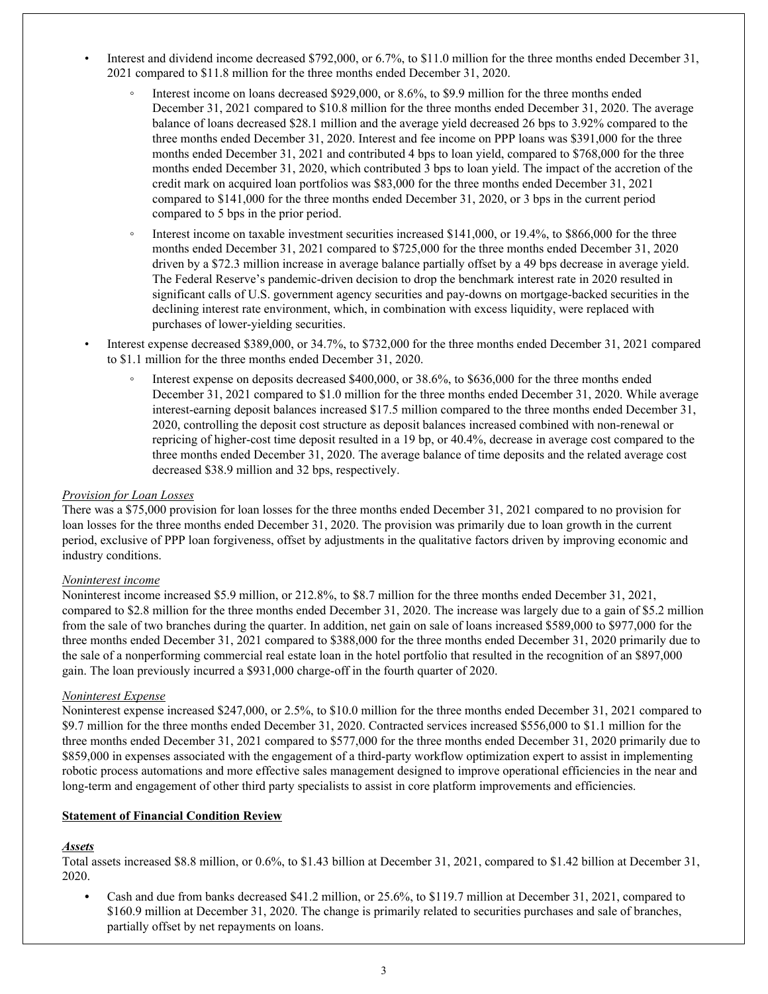- Interest and dividend income decreased \$792,000, or 6.7%, to \$11.0 million for the three months ended December 31, 2021 compared to \$11.8 million for the three months ended December 31, 2020.
	- Interest income on loans decreased \$929,000, or 8.6%, to \$9.9 million for the three months ended December 31, 2021 compared to \$10.8 million for the three months ended December 31, 2020. The average balance of loans decreased \$28.1 million and the average yield decreased 26 bps to 3.92% compared to the three months ended December 31, 2020. Interest and fee income on PPP loans was \$391,000 for the three months ended December 31, 2021 and contributed 4 bps to loan yield, compared to \$768,000 for the three months ended December 31, 2020, which contributed 3 bps to loan yield. The impact of the accretion of the credit mark on acquired loan portfolios was \$83,000 for the three months ended December 31, 2021 compared to \$141,000 for the three months ended December 31, 2020, or 3 bps in the current period compared to 5 bps in the prior period.
	- Interest income on taxable investment securities increased \$141,000, or 19.4%, to \$866,000 for the three months ended December 31, 2021 compared to \$725,000 for the three months ended December 31, 2020 driven by a \$72.3 million increase in average balance partially offset by a 49 bps decrease in average yield. The Federal Reserve's pandemic-driven decision to drop the benchmark interest rate in 2020 resulted in significant calls of U.S. government agency securities and pay-downs on mortgage-backed securities in the declining interest rate environment, which, in combination with excess liquidity, were replaced with purchases of lower-yielding securities.
- Interest expense decreased \$389,000, or 34.7%, to \$732,000 for the three months ended December 31, 2021 compared to \$1.1 million for the three months ended December 31, 2020.
	- Interest expense on deposits decreased \$400,000, or 38.6%, to \$636,000 for the three months ended December 31, 2021 compared to \$1.0 million for the three months ended December 31, 2020. While average interest-earning deposit balances increased \$17.5 million compared to the three months ended December 31, 2020, controlling the deposit cost structure as deposit balances increased combined with non-renewal or repricing of higher-cost time deposit resulted in a 19 bp, or 40.4%, decrease in average cost compared to the three months ended December 31, 2020. The average balance of time deposits and the related average cost decreased \$38.9 million and 32 bps, respectively.

#### *Provision for Loan Losses*

There was a \$75,000 provision for loan losses for the three months ended December 31, 2021 compared to no provision for loan losses for the three months ended December 31, 2020. The provision was primarily due to loan growth in the current period, exclusive of PPP loan forgiveness, offset by adjustments in the qualitative factors driven by improving economic and industry conditions.

#### *Noninterest income*

Noninterest income increased \$5.9 million, or 212.8%, to \$8.7 million for the three months ended December 31, 2021, compared to \$2.8 million for the three months ended December 31, 2020. The increase was largely due to a gain of \$5.2 million from the sale of two branches during the quarter. In addition, net gain on sale of loans increased \$589,000 to \$977,000 for the three months ended December 31, 2021 compared to \$388,000 for the three months ended December 31, 2020 primarily due to the sale of a nonperforming commercial real estate loan in the hotel portfolio that resulted in the recognition of an \$897,000 gain. The loan previously incurred a \$931,000 charge-off in the fourth quarter of 2020.

#### *Noninterest Expense*

Noninterest expense increased \$247,000, or 2.5%, to \$10.0 million for the three months ended December 31, 2021 compared to \$9.7 million for the three months ended December 31, 2020. Contracted services increased \$556,000 to \$1.1 million for the three months ended December 31, 2021 compared to \$577,000 for the three months ended December 31, 2020 primarily due to \$859,000 in expenses associated with the engagement of a third-party workflow optimization expert to assist in implementing robotic process automations and more effective sales management designed to improve operational efficiencies in the near and long-term and engagement of other third party specialists to assist in core platform improvements and efficiencies.

#### **Statement of Financial Condition Review**

#### *Assets*

Total assets increased \$8.8 million, or 0.6%, to \$1.43 billion at December 31, 2021, compared to \$1.42 billion at December 31, 2020.

*•* Cash and due from banks decreased \$41.2 million, or 25.6%, to \$119.7 million at December 31, 2021, compared to \$160.9 million at December 31, 2020. The change is primarily related to securities purchases and sale of branches, partially offset by net repayments on loans.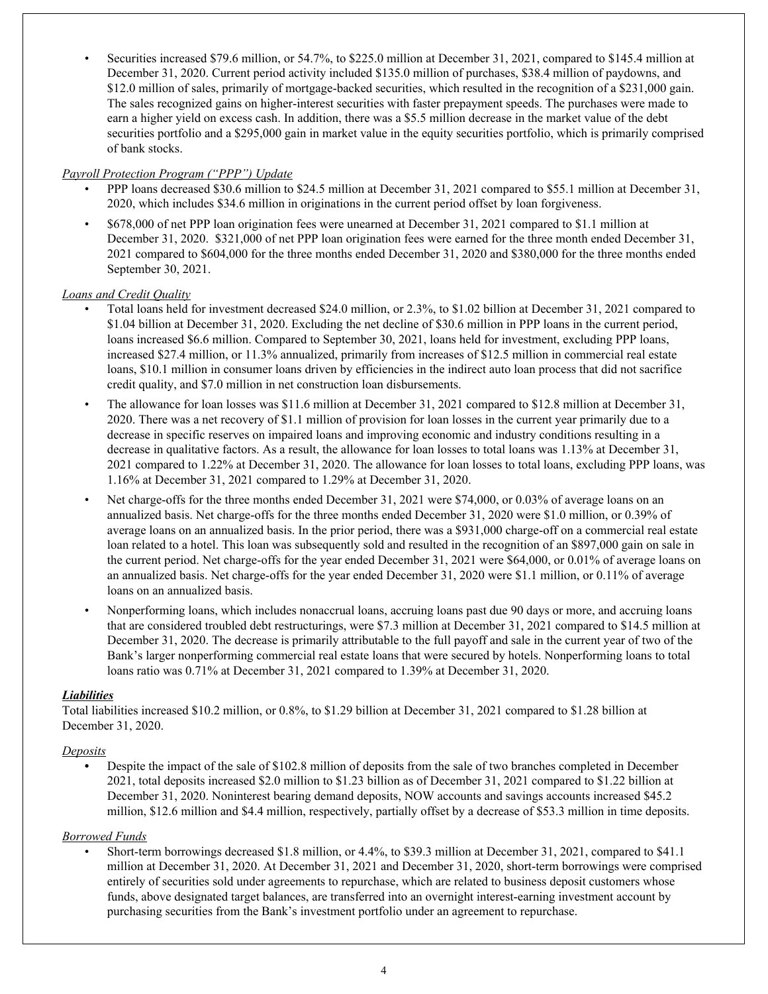• Securities increased \$79.6 million, or 54.7%, to \$225.0 million at December 31, 2021, compared to \$145.4 million at December 31, 2020. Current period activity included \$135.0 million of purchases, \$38.4 million of paydowns, and \$12.0 million of sales, primarily of mortgage-backed securities, which resulted in the recognition of a \$231,000 gain. The sales recognized gains on higher-interest securities with faster prepayment speeds. The purchases were made to earn a higher yield on excess cash. In addition, there was a \$5.5 million decrease in the market value of the debt securities portfolio and a \$295,000 gain in market value in the equity securities portfolio, which is primarily comprised of bank stocks.

#### *Payroll Protection Program ("PPP") Update*

- PPP loans decreased \$30.6 million to \$24.5 million at December 31, 2021 compared to \$55.1 million at December 31, 2020, which includes \$34.6 million in originations in the current period offset by loan forgiveness.
- \$678,000 of net PPP loan origination fees were unearned at December 31, 2021 compared to \$1.1 million at December 31, 2020. \$321,000 of net PPP loan origination fees were earned for the three month ended December 31, 2021 compared to \$604,000 for the three months ended December 31, 2020 and \$380,000 for the three months ended September 30, 2021.

# *Loans and Credit Quality*

- Total loans held for investment decreased \$24.0 million, or 2.3%, to \$1.02 billion at December 31, 2021 compared to \$1.04 billion at December 31, 2020. Excluding the net decline of \$30.6 million in PPP loans in the current period, loans increased \$6.6 million. Compared to September 30, 2021, loans held for investment, excluding PPP loans, increased \$27.4 million, or 11.3% annualized, primarily from increases of \$12.5 million in commercial real estate loans, \$10.1 million in consumer loans driven by efficiencies in the indirect auto loan process that did not sacrifice credit quality, and \$7.0 million in net construction loan disbursements.
- The allowance for loan losses was \$11.6 million at December 31, 2021 compared to \$12.8 million at December 31, 2020. There was a net recovery of \$1.1 million of provision for loan losses in the current year primarily due to a decrease in specific reserves on impaired loans and improving economic and industry conditions resulting in a decrease in qualitative factors. As a result, the allowance for loan losses to total loans was 1.13% at December 31, 2021 compared to 1.22% at December 31, 2020. The allowance for loan losses to total loans, excluding PPP loans, was 1.16% at December 31, 2021 compared to 1.29% at December 31, 2020.
- Net charge-offs for the three months ended December 31, 2021 were \$74,000, or 0.03% of average loans on an annualized basis. Net charge-offs for the three months ended December 31, 2020 were \$1.0 million, or 0.39% of average loans on an annualized basis. In the prior period, there was a \$931,000 charge-off on a commercial real estate loan related to a hotel. This loan was subsequently sold and resulted in the recognition of an \$897,000 gain on sale in the current period. Net charge-offs for the year ended December 31, 2021 were \$64,000, or 0.01% of average loans on an annualized basis. Net charge-offs for the year ended December 31, 2020 were \$1.1 million, or 0.11% of average loans on an annualized basis.
- Nonperforming loans, which includes nonaccrual loans, accruing loans past due 90 days or more, and accruing loans that are considered troubled debt restructurings, were \$7.3 million at December 31, 2021 compared to \$14.5 million at December 31, 2020. The decrease is primarily attributable to the full payoff and sale in the current year of two of the Bank's larger nonperforming commercial real estate loans that were secured by hotels. Nonperforming loans to total loans ratio was 0.71% at December 31, 2021 compared to 1.39% at December 31, 2020.

#### *Liabilities*

Total liabilities increased \$10.2 million, or 0.8%, to \$1.29 billion at December 31, 2021 compared to \$1.28 billion at December 31, 2020.

#### *Deposits*

**•** Despite the impact of the sale of \$102.8 million of deposits from the sale of two branches completed in December 2021, total deposits increased \$2.0 million to \$1.23 billion as of December 31, 2021 compared to \$1.22 billion at December 31, 2020. Noninterest bearing demand deposits, NOW accounts and savings accounts increased \$45.2 million, \$12.6 million and \$4.4 million, respectively, partially offset by a decrease of \$53.3 million in time deposits.

#### *Borrowed Funds*

• Short-term borrowings decreased \$1.8 million, or 4.4%, to \$39.3 million at December 31, 2021, compared to \$41.1 million at December 31, 2020. At December 31, 2021 and December 31, 2020, short-term borrowings were comprised entirely of securities sold under agreements to repurchase, which are related to business deposit customers whose funds, above designated target balances, are transferred into an overnight interest-earning investment account by purchasing securities from the Bank's investment portfolio under an agreement to repurchase.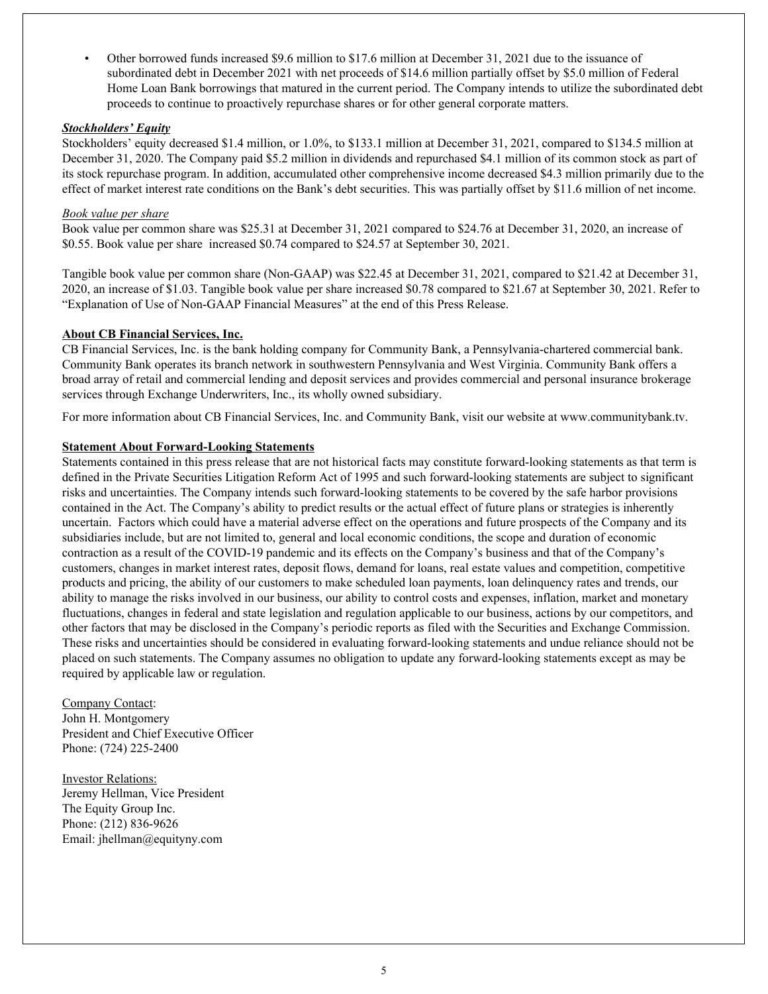• Other borrowed funds increased \$9.6 million to \$17.6 million at December 31, 2021 due to the issuance of subordinated debt in December 2021 with net proceeds of \$14.6 million partially offset by \$5.0 million of Federal Home Loan Bank borrowings that matured in the current period. The Company intends to utilize the subordinated debt proceeds to continue to proactively repurchase shares or for other general corporate matters.

#### *Stockholders' Equity*

Stockholders' equity decreased \$1.4 million, or 1.0%, to \$133.1 million at December 31, 2021, compared to \$134.5 million at December 31, 2020. The Company paid \$5.2 million in dividends and repurchased \$4.1 million of its common stock as part of its stock repurchase program. In addition, accumulated other comprehensive income decreased \$4.3 million primarily due to the effect of market interest rate conditions on the Bank's debt securities. This was partially offset by \$11.6 million of net income.

#### *Book value per share*

Book value per common share was \$25.31 at December 31, 2021 compared to \$24.76 at December 31, 2020, an increase of \$0.55. Book value per share increased \$0.74 compared to \$24.57 at September 30, 2021.

Tangible book value per common share (Non-GAAP) was \$22.45 at December 31, 2021, compared to \$21.42 at December 31, 2020, an increase of \$1.03. Tangible book value per share increased \$0.78 compared to \$21.67 at September 30, 2021. Refer to "Explanation of Use of Non-GAAP Financial Measures" at the end of this Press Release.

# **About CB Financial Services, Inc.**

CB Financial Services, Inc. is the bank holding company for Community Bank, a Pennsylvania-chartered commercial bank. Community Bank operates its branch network in southwestern Pennsylvania and West Virginia. Community Bank offers a broad array of retail and commercial lending and deposit services and provides commercial and personal insurance brokerage services through Exchange Underwriters, Inc., its wholly owned subsidiary.

For more information about CB Financial Services, Inc. and Community Bank, visit our website at www.communitybank.tv.

# **Statement About Forward-Looking Statements**

Statements contained in this press release that are not historical facts may constitute forward-looking statements as that term is defined in the Private Securities Litigation Reform Act of 1995 and such forward-looking statements are subject to significant risks and uncertainties. The Company intends such forward-looking statements to be covered by the safe harbor provisions contained in the Act. The Company's ability to predict results or the actual effect of future plans or strategies is inherently uncertain. Factors which could have a material adverse effect on the operations and future prospects of the Company and its subsidiaries include, but are not limited to, general and local economic conditions, the scope and duration of economic contraction as a result of the COVID-19 pandemic and its effects on the Company's business and that of the Company's customers, changes in market interest rates, deposit flows, demand for loans, real estate values and competition, competitive products and pricing, the ability of our customers to make scheduled loan payments, loan delinquency rates and trends, our ability to manage the risks involved in our business, our ability to control costs and expenses, inflation, market and monetary fluctuations, changes in federal and state legislation and regulation applicable to our business, actions by our competitors, and other factors that may be disclosed in the Company's periodic reports as filed with the Securities and Exchange Commission. These risks and uncertainties should be considered in evaluating forward-looking statements and undue reliance should not be placed on such statements. The Company assumes no obligation to update any forward-looking statements except as may be required by applicable law or regulation.

#### Company Contact: John H. Montgomery President and Chief Executive Officer Phone: (724) 225-2400

Investor Relations: Jeremy Hellman, Vice President The Equity Group Inc. Phone: (212) 836-9626 Email: jhellman@equityny.com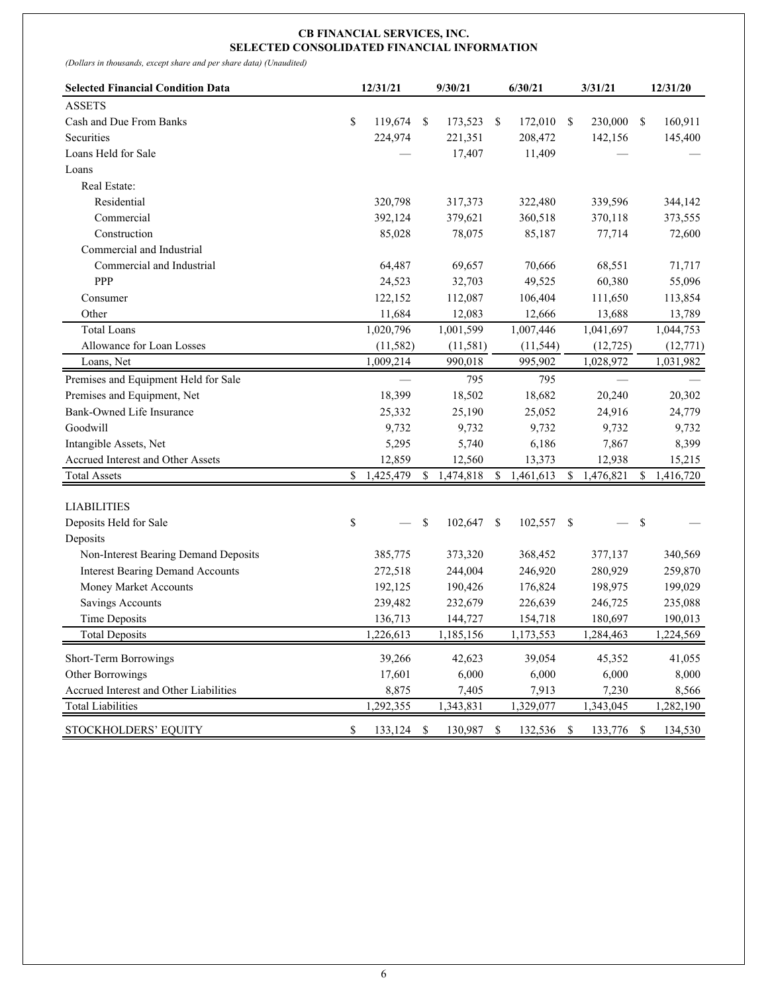#### **CB FINANCIAL SERVICES, INC. SELECTED CONSOLIDATED FINANCIAL INFORMATION**

*(Dollars in thousands, except share and per share data) (Unaudited)*

| <b>Selected Financial Condition Data</b> | 12/31/21 |            | 9/30/21          | 6/30/21          |    | 3/31/21    | 12/31/20        |
|------------------------------------------|----------|------------|------------------|------------------|----|------------|-----------------|
| <b>ASSETS</b>                            |          |            |                  |                  |    |            |                 |
| Cash and Due From Banks                  | \$       | 119,674    | \$<br>173,523 \$ | 172,010          | -S | 230,000    | \$<br>160,911   |
| Securities                               |          | 224,974    | 221,351          | 208,472          |    | 142,156    | 145,400         |
| Loans Held for Sale                      |          |            | 17,407           | 11,409           |    |            |                 |
| Loans                                    |          |            |                  |                  |    |            |                 |
| Real Estate:                             |          |            |                  |                  |    |            |                 |
| Residential                              |          | 320,798    | 317,373          | 322,480          |    | 339,596    | 344,142         |
| Commercial                               |          | 392,124    | 379,621          | 360,518          |    | 370,118    | 373,555         |
| Construction                             |          | 85,028     | 78,075           | 85,187           |    | 77,714     | 72,600          |
| Commercial and Industrial                |          |            |                  |                  |    |            |                 |
| Commercial and Industrial                |          | 64,487     | 69,657           | 70,666           |    | 68,551     | 71,717          |
| PPP                                      |          | 24,523     | 32,703           | 49,525           |    | 60,380     | 55,096          |
| Consumer                                 |          | 122,152    | 112,087          | 106,404          |    | 111,650    | 113,854         |
| Other                                    |          | 11,684     | 12,083           | 12,666           |    | 13,688     | 13,789          |
| <b>Total Loans</b>                       |          | 1,020,796  | 1,001,599        | 1,007,446        |    | 1,041,697  | 1,044,753       |
| Allowance for Loan Losses                |          | (11, 582)  | (11, 581)        | (11, 544)        |    | (12, 725)  | (12, 771)       |
| Loans, Net                               |          | 1,009,214  | 990,018          | 995,902          |    | 1,028,972  | 1,031,982       |
| Premises and Equipment Held for Sale     |          |            | 795              | 795              |    |            |                 |
| Premises and Equipment, Net              |          | 18,399     | 18,502           | 18,682           |    | 20,240     | 20,302          |
| Bank-Owned Life Insurance                |          | 25,332     | 25,190           | 25,052           |    | 24,916     | 24,779          |
| Goodwill                                 |          | 9,732      | 9,732            | 9,732            |    | 9,732      | 9,732           |
| Intangible Assets, Net                   |          | 5,295      | 5,740            | 6,186            |    | 7,867      | 8,399           |
| Accrued Interest and Other Assets        |          | 12,859     | 12,560           | 13,373           |    | 12,938     | 15,215          |
| <b>Total Assets</b>                      | \$       | 1,425,479  | \$<br>1,474,818  | \$<br>1,461,613  | \$ | 1,476,821  | \$<br>1,416,720 |
| <b>LIABILITIES</b>                       |          |            |                  |                  |    |            |                 |
| Deposits Held for Sale                   | \$       |            | \$<br>102,647    | \$<br>102,557    | \$ |            | \$              |
| Deposits                                 |          |            |                  |                  |    |            |                 |
| Non-Interest Bearing Demand Deposits     |          | 385,775    | 373,320          | 368,452          |    | 377,137    | 340,569         |
| <b>Interest Bearing Demand Accounts</b>  |          | 272,518    | 244,004          | 246,920          |    | 280,929    | 259,870         |
| Money Market Accounts                    |          | 192,125    | 190,426          | 176,824          |    | 198,975    | 199,029         |
| Savings Accounts                         |          | 239,482    | 232,679          | 226,639          |    | 246,725    | 235,088         |
| <b>Time Deposits</b>                     |          | 136,713    | 144,727          | 154,718          |    | 180,697    | 190,013         |
| <b>Total Deposits</b>                    |          | 1.226.613  | 1.185.156        | 1.173.553        |    | 1.284.463  | 1,224,569       |
| Short-Term Borrowings                    |          | 39,266     | 42,623           | 39,054           |    | 45,352     | 41,055          |
| Other Borrowings                         |          | 17,601     | 6,000            | 6,000            |    | 6,000      | 8,000           |
| Accrued Interest and Other Liabilities   |          | 8,875      | 7,405            | 7,913            |    | 7,230      | 8,566           |
| <b>Total Liabilities</b>                 |          | 1,292,355  | 1,343,831        | 1,329,077        |    | 1,343,045  | 1,282,190       |
| STOCKHOLDERS' EQUITY                     | \$       | 133,124 \$ | 130,987          | \$<br>132,536 \$ |    | 133,776 \$ | 134,530         |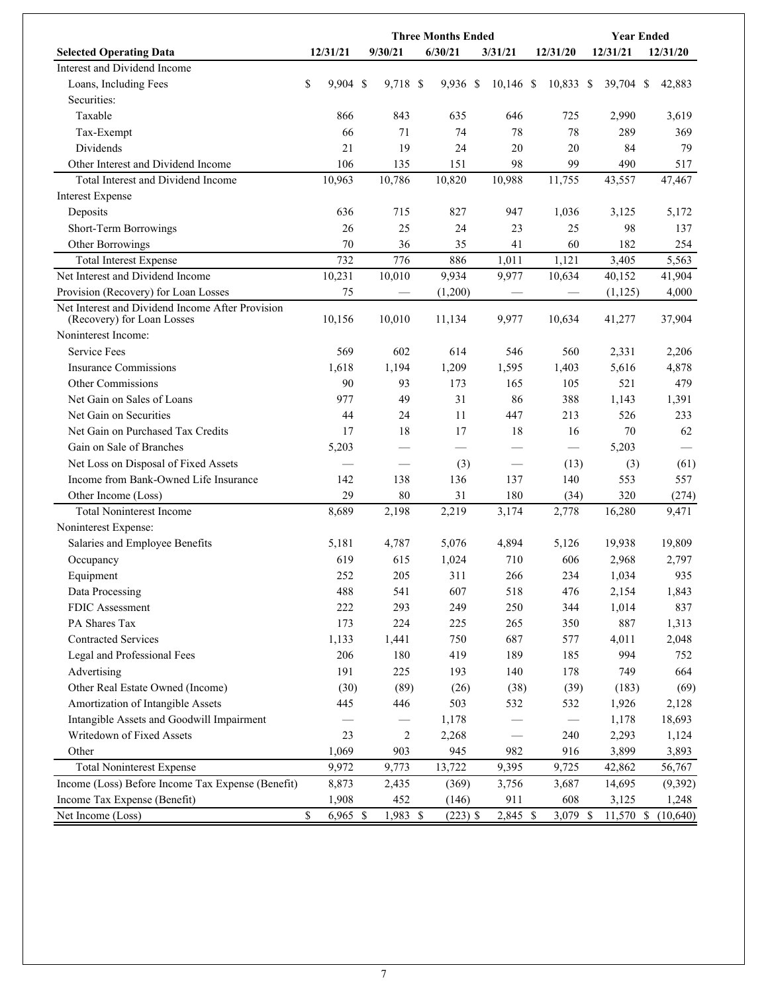|                                                                                | <b>Three Months Ended</b> |  |                  |  |            |  |                          |  |                 |  | <b>Year Ended</b> |          |
|--------------------------------------------------------------------------------|---------------------------|--|------------------|--|------------|--|--------------------------|--|-----------------|--|-------------------|----------|
| <b>Selected Operating Data</b>                                                 | 12/31/21                  |  | 9/30/21          |  | 6/30/21    |  | 3/31/21                  |  | 12/31/20        |  | 12/31/21          | 12/31/20 |
| Interest and Dividend Income                                                   |                           |  |                  |  |            |  |                          |  |                 |  |                   |          |
| Loans, Including Fees                                                          | \$<br>$9,904$ \$          |  | 9,718 \$         |  | 9,936 \$   |  | $10,146$ \$              |  | 10,833 \$       |  | 39,704 \$         | 42,883   |
| Securities:                                                                    |                           |  |                  |  |            |  |                          |  |                 |  |                   |          |
| Taxable                                                                        | 866                       |  | 843              |  | 635        |  | 646                      |  | 725             |  | 2,990             | 3,619    |
| Tax-Exempt                                                                     | 66                        |  | 71               |  | 74         |  | 78                       |  | 78              |  | 289               | 369      |
| Dividends                                                                      | 21                        |  | 19               |  | 24         |  | 20                       |  | 20              |  | 84                | 79       |
| Other Interest and Dividend Income                                             | 106                       |  | 135              |  | 151        |  | 98                       |  | 99              |  | 490               | 517      |
| Total Interest and Dividend Income                                             | 10,963                    |  | 10,786           |  | 10,820     |  | 10,988                   |  | 11,755          |  | 43,557            | 47,467   |
| <b>Interest Expense</b>                                                        |                           |  |                  |  |            |  |                          |  |                 |  |                   |          |
| Deposits                                                                       | 636                       |  | 715              |  | 827        |  | 947                      |  | 1,036           |  | 3,125             | 5,172    |
| Short-Term Borrowings                                                          | 26                        |  | 25               |  | 24         |  | 23                       |  | 25              |  | 98                | 137      |
| Other Borrowings                                                               | 70                        |  | 36               |  | 35         |  | 41                       |  | 60              |  | 182               | 254      |
| <b>Total Interest Expense</b>                                                  | 732                       |  | 776              |  | 886        |  | 1,011                    |  | 1,121           |  | 3,405             | 5,563    |
| Net Interest and Dividend Income                                               | 10,231                    |  | 10,010           |  | 9,934      |  | 9,977                    |  | 10,634          |  | 40,152            | 41,904   |
| Provision (Recovery) for Loan Losses                                           | 75                        |  |                  |  | (1,200)    |  |                          |  |                 |  | (1, 125)          | 4,000    |
| Net Interest and Dividend Income After Provision<br>(Recovery) for Loan Losses | 10,156                    |  | 10,010           |  | 11,134     |  | 9,977                    |  | 10,634          |  | 41,277            | 37,904   |
| Noninterest Income:                                                            |                           |  |                  |  |            |  |                          |  |                 |  |                   |          |
| <b>Service Fees</b>                                                            | 569                       |  | 602              |  | 614        |  | 546                      |  | 560             |  | 2,331             | 2,206    |
| <b>Insurance Commissions</b>                                                   | 1,618                     |  | 1,194            |  | 1,209      |  | 1,595                    |  | 1,403           |  | 5,616             | 4,878    |
| <b>Other Commissions</b>                                                       | 90                        |  | 93               |  | 173        |  | 165                      |  | 105             |  | 521               | 479      |
| Net Gain on Sales of Loans                                                     | 977                       |  | 49               |  | 31         |  | 86                       |  | 388             |  | 1,143             | 1,391    |
| Net Gain on Securities                                                         | 44                        |  | 24               |  | 11         |  | 447                      |  | 213             |  | 526               | 233      |
| Net Gain on Purchased Tax Credits                                              | 17                        |  | 18               |  | 17         |  | 18                       |  | 16              |  | 70                | 62       |
| Gain on Sale of Branches                                                       | 5,203                     |  |                  |  |            |  |                          |  | $\qquad \qquad$ |  | 5,203             |          |
| Net Loss on Disposal of Fixed Assets                                           |                           |  |                  |  | (3)        |  |                          |  | (13)            |  | (3)               | (61)     |
| Income from Bank-Owned Life Insurance                                          | 142                       |  | 138              |  | 136        |  | 137                      |  | 140             |  | 553               | 557      |
| Other Income (Loss)                                                            | 29                        |  | 80               |  | 31         |  | 180                      |  | (34)            |  | 320               | (274)    |
| <b>Total Noninterest Income</b>                                                | 8,689                     |  | 2,198            |  | 2,219      |  | 3,174                    |  | 2,778           |  | 16,280            | 9,471    |
| Noninterest Expense:                                                           |                           |  |                  |  |            |  |                          |  |                 |  |                   |          |
| Salaries and Employee Benefits                                                 | 5,181                     |  | 4,787            |  | 5,076      |  | 4,894                    |  | 5,126           |  | 19,938            | 19,809   |
| Occupancy                                                                      | 619                       |  | 615              |  | 1,024      |  | 710                      |  | 606             |  | 2,968             | 2,797    |
| Equipment                                                                      | 252                       |  | 205              |  | 311        |  | 266                      |  | 234             |  | 1,034             | 935      |
| Data Processing                                                                | 488                       |  | 541              |  | 607        |  | 518                      |  | 476             |  | 2,154             | 1,843    |
| FDIC Assessment                                                                | 222                       |  | 293              |  | 249        |  | 250                      |  | 344             |  | 1,014             | 837      |
| PA Shares Tax                                                                  | 173                       |  | 224              |  | 225        |  | 265                      |  | 350             |  | 887               | 1,313    |
| <b>Contracted Services</b>                                                     | 1,133                     |  | 1,441            |  | 750        |  | 687                      |  | 577             |  | 4,011             | 2,048    |
| Legal and Professional Fees                                                    | 206                       |  | 180              |  | 419        |  | 189                      |  | 185             |  | 994               | 752      |
| Advertising                                                                    | 191                       |  | 225              |  | 193        |  | 140                      |  | 178             |  | 749               | 664      |
| Other Real Estate Owned (Income)                                               | (30)                      |  | (89)             |  | (26)       |  | (38)                     |  | (39)            |  | (183)             | (69)     |
| Amortization of Intangible Assets                                              | 445                       |  | 446              |  | 503        |  | 532                      |  | 532             |  | 1,926             | 2,128    |
| Intangible Assets and Goodwill Impairment                                      |                           |  |                  |  | 1,178      |  |                          |  |                 |  | 1,178             | 18,693   |
| Writedown of Fixed Assets                                                      | 23                        |  | $\boldsymbol{2}$ |  | 2,268      |  | $\overline{\phantom{0}}$ |  | 240             |  | 2,293             | 1,124    |
| Other                                                                          | 1,069                     |  | 903              |  | 945        |  | 982                      |  | 916             |  | 3,899             | 3,893    |
| <b>Total Noninterest Expense</b>                                               | 9,972                     |  | 9,773            |  | 13,722     |  | 9,395                    |  | 9,725           |  | 42,862            | 56,767   |
| Income (Loss) Before Income Tax Expense (Benefit)                              | 8,873                     |  | 2,435            |  | (369)      |  | 3,756                    |  | 3,687           |  | 14,695            | (9,392)  |
| Income Tax Expense (Benefit)                                                   | 1,908                     |  | 452              |  | (146)      |  | 911                      |  | 608             |  | 3,125             | 1,248    |
| Net Income (Loss)                                                              | \$<br>$6,965$ \$          |  | 1,983 \$         |  | $(223)$ \$ |  | 2,845 \$                 |  | 3,079 \$        |  | 11,570 \$         | (10,640) |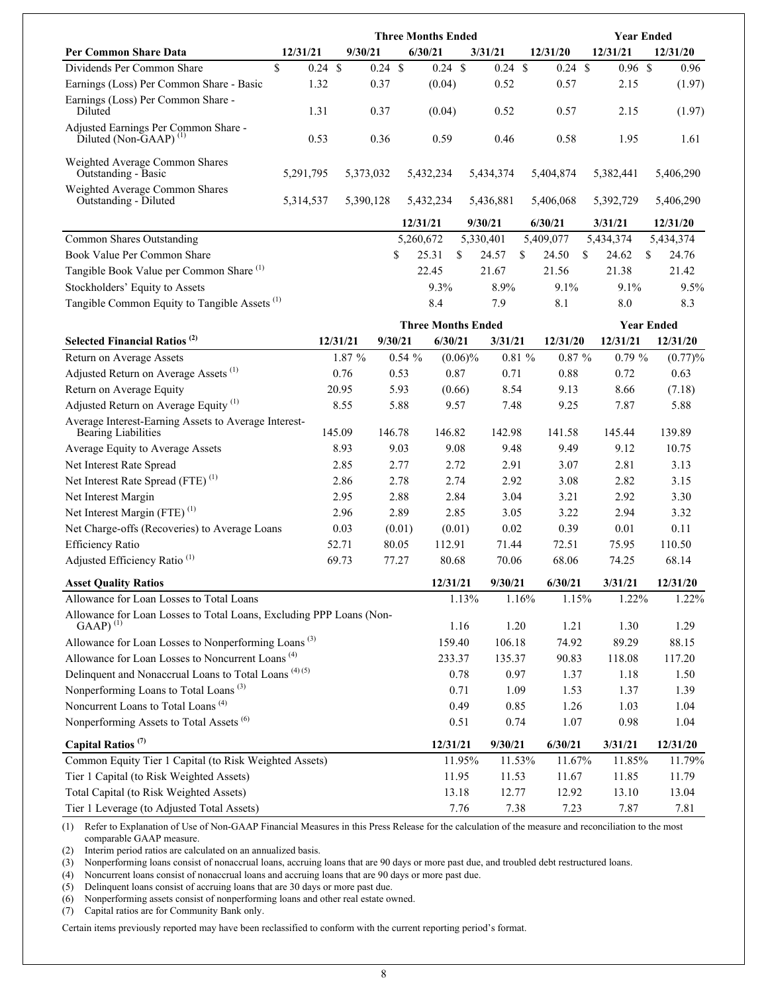|                                                                                      | <b>Three Months Ended</b><br><b>Year Ended</b> |                   |           |                   |           |                           |            |                   |       |                    |    |           |                   |  |
|--------------------------------------------------------------------------------------|------------------------------------------------|-------------------|-----------|-------------------|-----------|---------------------------|------------|-------------------|-------|--------------------|----|-----------|-------------------|--|
| <b>Per Common Share Data</b>                                                         | 12/31/21                                       |                   | 9/30/21   |                   |           | 6/30/21                   |            | 3/31/21           |       | 12/31/20           |    | 12/31/21  | 12/31/20          |  |
| Dividends Per Common Share                                                           | $\mathbf S$                                    | $0.24 \text{ } $$ |           | $0.24 \text{ } $$ |           | $0.24$ \$                 |            | $0.24 \text{ } $$ |       | $0.24 \text{ } $s$ |    | $0.96$ \$ | 0.96              |  |
| Earnings (Loss) Per Common Share - Basic                                             |                                                | 1.32              |           | 0.37              |           | (0.04)                    |            | 0.52              |       | 0.57               |    | 2.15      | (1.97)            |  |
| Earnings (Loss) Per Common Share -<br>Diluted                                        |                                                | 1.31              |           | 0.37              |           | (0.04)                    |            | 0.52              |       | 0.57               |    | 2.15      | (1.97)            |  |
| Adjusted Earnings Per Common Share -<br>Diluted (Non-GAAP) <sup>(1)</sup>            |                                                | 0.53              |           | 0.36              |           | 0.59                      |            | 0.46              |       | 0.58               |    | 1.95      | 1.61              |  |
| Weighted Average Common Shares<br>Outstanding - Basic                                | 5,291,795                                      |                   | 5,373,032 |                   |           | 5,432,234                 |            | 5,434,374         |       | 5,404,874          |    | 5,382,441 | 5,406,290         |  |
| Weighted Average Common Shares<br>Outstanding - Diluted                              | 5,314,537                                      |                   | 5,390,128 |                   |           | 5,432,234                 |            | 5,436,881         |       | 5,406,068          |    | 5,392,729 | 5,406,290         |  |
|                                                                                      |                                                |                   |           |                   |           | 12/31/21                  |            | 9/30/21           |       | 6/30/21            |    | 3/31/21   | 12/31/20          |  |
| <b>Common Shares Outstanding</b>                                                     |                                                |                   |           |                   |           | 5,260,672                 |            | 5,330,401         |       | 5,409,077          |    | 5,434,374 | 5,434,374         |  |
| Book Value Per Common Share                                                          |                                                |                   |           |                   | \$        | 25.31                     | S.         | 24.57             | S.    | 24.50              | \$ | 24.62     | \$<br>24.76       |  |
| Tangible Book Value per Common Share <sup>(1)</sup>                                  |                                                |                   |           |                   |           | 22.45                     |            | 21.67             |       | 21.56              |    | 21.38     | 21.42             |  |
| Stockholders' Equity to Assets                                                       |                                                |                   |           |                   |           | 9.3%                      |            | 8.9%              |       | 9.1%               |    | 9.1%      | 9.5%              |  |
| Tangible Common Equity to Tangible Assets <sup>(1)</sup>                             |                                                |                   |           |                   |           | 8.4                       |            | 7.9               |       | 8.1                |    | 8.0       | 8.3               |  |
|                                                                                      |                                                |                   |           |                   |           | <b>Three Months Ended</b> |            |                   |       |                    |    |           | <b>Year Ended</b> |  |
| Selected Financial Ratios <sup>(2)</sup>                                             |                                                |                   | 12/31/21  |                   | 9/30/21   | 6/30/21                   |            | 3/31/21           |       | 12/31/20           |    | 12/31/21  | 12/31/20          |  |
| Return on Average Assets                                                             |                                                |                   | 1.87 %    |                   | $0.54 \%$ |                           | $(0.06)\%$ |                   | 0.81% | $0.87 \%$          |    | $0.79 \%$ | (0.77)%           |  |
| Adjusted Return on Average Assets <sup>(1)</sup>                                     |                                                |                   | 0.76      |                   | 0.53      |                           | 0.87       | 0.71              |       | 0.88               |    | 0.72      | 0.63              |  |
| Return on Average Equity                                                             |                                                |                   | 20.95     |                   | 5.93      |                           | (0.66)     | 8.54              |       | 9.13               |    | 8.66      | (7.18)            |  |
| Adjusted Return on Average Equity <sup>(1)</sup>                                     |                                                |                   | 8.55      |                   | 5.88      |                           | 9.57       | 7.48              |       | 9.25               |    | 7.87      | 5.88              |  |
| Average Interest-Earning Assets to Average Interest-<br><b>Bearing Liabilities</b>   |                                                |                   | 145.09    | 146.78            |           | 146.82                    |            | 142.98            |       | 141.58             |    | 145.44    | 139.89            |  |
| Average Equity to Average Assets                                                     |                                                |                   | 8.93      |                   | 9.03      |                           | 9.08       | 9.48              |       | 9.49               |    | 9.12      | 10.75             |  |
| Net Interest Rate Spread                                                             |                                                |                   | 2.85      |                   | 2.77      |                           | 2.72       | 2.91              |       | 3.07               |    | 2.81      | 3.13              |  |
| Net Interest Rate Spread (FTE) <sup>(1)</sup>                                        |                                                |                   | 2.86      |                   | 2.78      |                           | 2.74       | 2.92              |       | 3.08               |    | 2.82      | 3.15              |  |
| Net Interest Margin                                                                  |                                                |                   | 2.95      |                   | 2.88      |                           | 2.84       | 3.04              |       | 3.21               |    | 2.92      | 3.30              |  |
| Net Interest Margin (FTE) $(1)$                                                      |                                                |                   | 2.96      |                   | 2.89      |                           | 2.85       | 3.05              |       | 3.22               |    | 2.94      | 3.32              |  |
| Net Charge-offs (Recoveries) to Average Loans                                        |                                                |                   | 0.03      |                   | (0.01)    |                           | (0.01)     | 0.02              |       | 0.39               |    | 0.01      | 0.11              |  |
| <b>Efficiency Ratio</b>                                                              |                                                |                   | 52.71     |                   | 80.05     | 112.91                    |            | 71.44             |       | 72.51              |    | 75.95     | 110.50            |  |
| Adjusted Efficiency Ratio <sup>(1)</sup>                                             |                                                |                   | 69.73     |                   | 77.27     | 80.68                     |            | 70.06             |       | 68.06              |    | 74.25     | 68.14             |  |
| <b>Asset Quality Ratios</b>                                                          |                                                |                   |           |                   |           | 12/31/21                  |            | 9/30/21           |       | 6/30/21            |    | 3/31/21   | 12/31/20          |  |
| Allowance for Loan Losses to Total Loans                                             |                                                |                   |           |                   |           |                           | 1.13%      |                   | 1.16% | 1.15%              |    | 1.22%     | 1.22%             |  |
| Allowance for Loan Losses to Total Loans, Excluding PPP Loans (Non-<br>$(AAP)^{(1)}$ |                                                |                   |           |                   |           |                           | 1.16       | 1.20              |       | 1.21               |    | 1.30      | 1.29              |  |
| Allowance for Loan Losses to Nonperforming Loans <sup>(3)</sup>                      |                                                |                   |           |                   |           | 159.40                    |            | 106.18            |       | 74.92              |    | 89.29     | 88.15             |  |
| Allowance for Loan Losses to Noncurrent Loans <sup>(4)</sup>                         |                                                |                   |           |                   |           | 233.37                    |            | 135.37            |       | 90.83              |    | 118.08    | 117.20            |  |
| Delinquent and Nonaccrual Loans to Total Loans <sup>(4)(5)</sup>                     |                                                |                   |           |                   |           |                           | 0.78       | 0.97              |       | 1.37               |    | 1.18      | 1.50              |  |
| Nonperforming Loans to Total Loans <sup>(3)</sup>                                    |                                                |                   |           |                   |           |                           | 0.71       | 1.09              |       | 1.53               |    | 1.37      | 1.39              |  |
| Noncurrent Loans to Total Loans <sup>(4)</sup>                                       |                                                |                   |           |                   |           |                           | 0.49       | 0.85              |       | 1.26               |    | 1.03      | 1.04              |  |
| Nonnarforming $\Lambda$ sects to Total $\Lambda$ sects $^{(6)}$                      |                                                |                   |           |                   |           |                           | 0.51       | 0.74              |       | 1.07               |    | 0.09      | $1 \Omega$        |  |

| Nonperforming Assets to Total Assets $\vee$            | U.O.I    | U.74      | 1.07    | U.YO    | 1.V4     |
|--------------------------------------------------------|----------|-----------|---------|---------|----------|
| Capital Ratios <sup><math>(7)</math></sup>             | 12/31/21 | 9/30/21   | 6/30/21 | 3/31/21 | 12/31/20 |
| Common Equity Tier 1 Capital (to Risk Weighted Assets) | 1195%    | $11.53\%$ | 11.67%  | 11 85%  | 11.79%   |
| Tier 1 Capital (to Risk Weighted Assets)               | 11.95    | 11.53     | 11.67   | 11.85   | 11.79    |
| Total Capital (to Risk Weighted Assets)                | 13.18    | 12.77     | 12.92   | 13.10   | 13.04    |
| Tier 1 Leverage (to Adjusted Total Assets)             | 7.76     | 7.38      | 7.23    | 7.87    | 7.81     |

(1) Refer to Explanation of Use of Non-GAAP Financial Measures in this Press Release for the calculation of the measure and reconciliation to the most comparable GAAP measure.

(2) Interim period ratios are calculated on an annualized basis.

(3) Nonperforming loans consist of nonaccrual loans, accruing loans that are 90 days or more past due, and troubled debt restructured loans.

(4) Noncurrent loans consist of nonaccrual loans and accruing loans that are 90 days or more past due.

(5) Delinquent loans consist of accruing loans that are 30 days or more past due.

(6) Nonperforming assets consist of nonperforming loans and other real estate owned.

(7) Capital ratios are for Community Bank only.

Certain items previously reported may have been reclassified to conform with the current reporting period's format.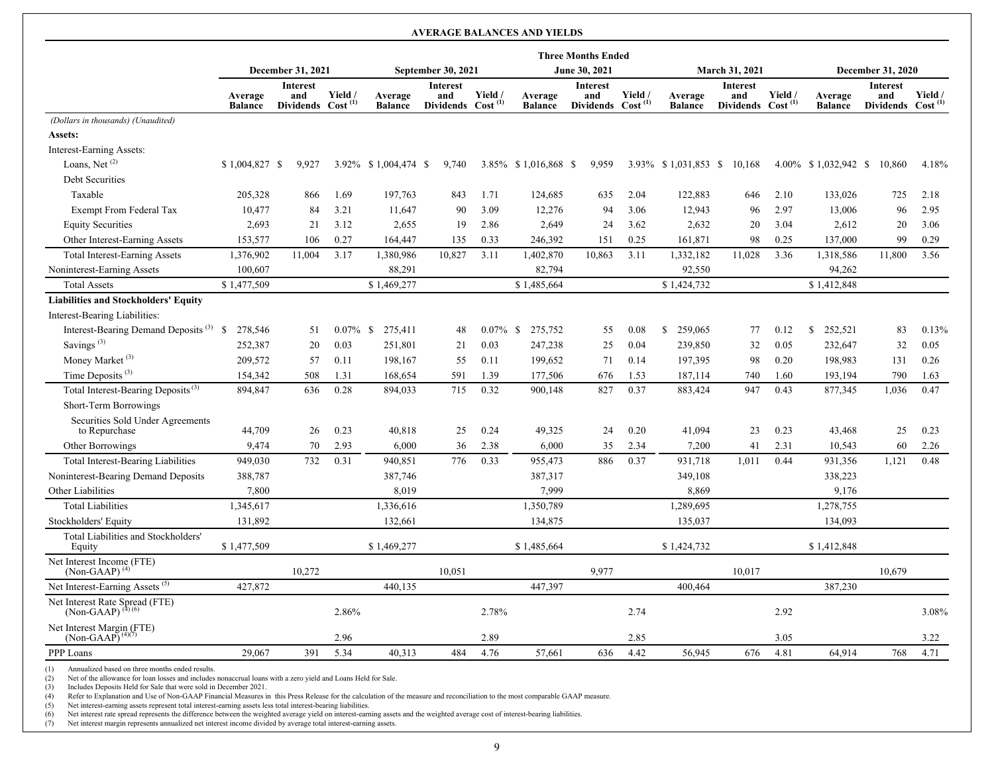#### **AVERAGE BALANCES AND YIELDS Three Months Ended December 31, 2021 September 30, 2021 June 30, 2021 March 31, 2021 December 31, 2020 Average Balance Interest and Dividends Cost (1) Yield / Average Balance Interest and Dividends Cost (1) Yield / Average Balance Interest and Dividends Cost (1) Yield / Average Balance Interest and Dividends Cost (1) Yield / Average Balance Interest and Dividends Cost (1) Yield /**  *(Dollars in thousands) (Unaudited)* **Assets:** Interest-Earning Assets: Loans, Net<sup>(2)</sup> \$1,004,827 \$9,927 3.92% \$1,004,474 \$9,740 3.85% \$1,016,868 \$9,959 3.93% \$1,031,853 \$10,168 4.00% \$1,032,942 \$10,860 4.18% Debt Securities Taxable 205,328 866 1.69 197,763 843 1.71 124,685 635 2.04 122,883 646 2.10 133,026 725 2.18 Exempt From Federal Tax 10,477 84 3.21 11,647 90 3.09 12,276 94 3.06 12,943 96 2.97 13,006 96 2.95 Equity Securities 2,693 21 3.12 2,655 19 2.86 2,649 24 3.62 2,632 20 3.04 2,612 20 3.06 Other Interest-Earning Assets 153,577 106 0.27 164,447 135 0.33 246,392 151 0.25 161,871 98 0.25 137,000 99 0.29 Total Interest-Earning Assets 1,376,902 11,004 3.17 1,380,986 10,827 3.11 1,402,870 10,863 3.11 1,332,182 11,028 3.36 1,318,586 11,800 3.56 Noninterest-Earning Assets 100,607 88,291 82,794 92,550 94,262 Total Assets \$ 1,477,509 \$ 1,469,277 \$ 1,485,664 \$ 1,424,732 \$ 1,424,732 \$ 1,412,848 **Liabilities and Stockholders' Equity** Interest-Bearing Liabilities: Interest-Bearing Demand Deposits (3) \$ 278,546 51 0.07% \$ 275,411 48 0.07% \$ 275,752 55 0.08 \$ 259,065 77 0.12 \$ 252,521 83 0.13% Savings<sup>(3)</sup> 252,387 20 0.03 251,801 21 0.03 247,238 25 0.04 239,850 32 0.05 232,647 32 0.05 Money Market <sup>(3)</sup> 209,572 57 0.11 198,167 55 0.11 199,652 71 0.14 197,395 98 0.20 198,983 131 0.26 Time Deposits <sup>(3)</sup> 154,342 508 1.31 168,654 591 1.39 177,506 676 1.53 187,114 740 1.60 193,194 790 1.63 Total Interest-Bearing Deposits (3) 894,847 636 0.28 894,033 715 0.32 900,148 827 0.37 883,424 947 0.43 877,345 1,036 0.47 Short-Term Borrowings Securities Sold Under Agreements to Repurchase 20 20 30 26 0.23 40,818 25 0.24 49,325 24 0.20 41,094 23 0.23 43,468 25 0.23 Other Borrowings 6,9474 70 2.93 6,000 36 2.38 6,000 35 2.34 7,200 41 2.31 10,543 60 2.26 Total Interest-Bearing Liabilities 949,030 732 0.31 940,851 776 0.33 955,473 886 0.37 931,718 1,011 0.44 931,356 1,121 0.48 Noninterest-Bearing Demand Deposits 388,787 387,746 387,317 387,317 349,108 338,223 Other Liabilities 200 2,800 8,019 8,909 8,869 8,869 9,176 Total Liabilities 1,345,617 1,336,616 1,350,789 1,350,789 1,328,695 1,278,755 Stockholders' Equity 131,892 132,661 134,093 134,093 135,037 135,037 134,093 Total Liabilities and Stockholders' Equity 6 1,477,509 \$ 1,469,277 \$ 1,485,664 \$ 1,424,732 \$ 1,412,848 Net Interest Income (FTE)<br>(Non-GAAP)<sup>(4)</sup> (Non-GAAP)<sup>(4)</sup> (10,679 10,272 10,051 9,977 10,017 10,017 10,679 Net Interest-Earning Assets <sup>(5)</sup> 427,872 440,135 447,397 400,464 387,230 Net Interest Rate Spread (FTE)<br>(Non-GAAP)<sup>(4)(6)</sup>  $(Non-GAAP)^{(4)(6)}$   $(100)$   $(2.86\%$   $2.78\%$   $2.78\%$   $2.74$   $2.92$   $2.92$   $3.08\%$ Net Interest Margin (FTE)<br>(Non-GAAP)<sup>(4)(7)</sup>  $(Non-GAAP)^{(4)(7)}$  2.96 2.89 2.85 3.05 3.22 3.22 PPP Loans 29,067 391 5.34 40,313 484 4.76 57,661 636 4.42 56,945 676 4.81 64,914 768 4.71

(1) Annualized based on three months ended results.

(2) Net of the allowance for loan losses and includes nonaccrual loans with a zero yield and Loans Held for Sale.<br>
(3) Includes Deposits Held for Sale that were sold in December 2021.

Includes Deposits Held for Sale that were sold in December 2021.

(4) Refer to Explanation and Use of Non-GAAP Financial Measures in this Press Release for the calculation of the measure and reconciliation to the most comparable GAAP measure.

(5) Net interest-earning assets represent total interest-earning assets less total interest-bearing liabilities.<br>
(6) Net interest rate spread represents the difference between the weighted average vield on interest-earn

(6) Net interest rate spread represents the difference between the weighted average yield on interest-earning assets and the weighted average cost of interest-bearing liabilities.

(7) Net interest margin represents annualized net interest income divided by average total interest-earning assets.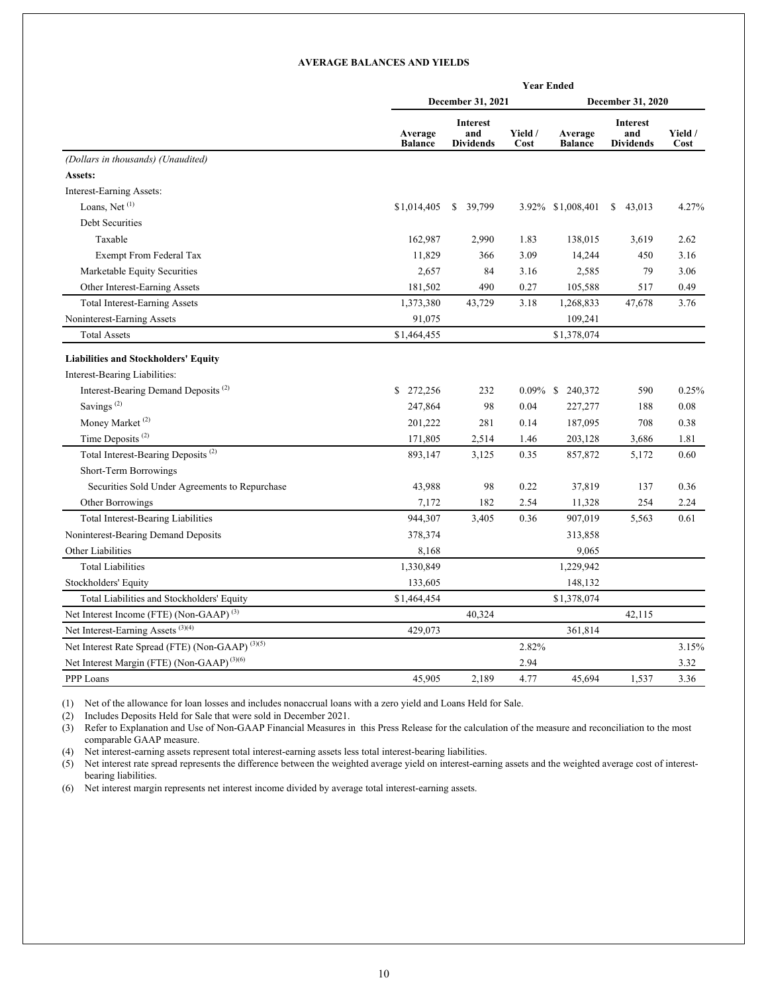#### **AVERAGE BALANCES AND YIELDS**

|                                                             | <b>Year Ended</b>         |                                     |                 |                           |                                     |                 |  |  |  |  |  |  |
|-------------------------------------------------------------|---------------------------|-------------------------------------|-----------------|---------------------------|-------------------------------------|-----------------|--|--|--|--|--|--|
|                                                             |                           | December 31, 2021                   |                 |                           | December 31, 2020                   |                 |  |  |  |  |  |  |
|                                                             | Average<br><b>Balance</b> | Interest<br>and<br><b>Dividends</b> | Yield /<br>Cost | Average<br><b>Balance</b> | Interest<br>and<br><b>Dividends</b> | Yield /<br>Cost |  |  |  |  |  |  |
| (Dollars in thousands) (Unaudited)                          |                           |                                     |                 |                           |                                     |                 |  |  |  |  |  |  |
| Assets:                                                     |                           |                                     |                 |                           |                                     |                 |  |  |  |  |  |  |
| Interest-Earning Assets:                                    |                           |                                     |                 |                           |                                     |                 |  |  |  |  |  |  |
| Loans, Net $(1)$                                            | \$1,014,405               | 39,799<br>S.                        |                 | 3.92% \$1,008,401         | \$43,013                            | 4.27%           |  |  |  |  |  |  |
| Debt Securities                                             |                           |                                     |                 |                           |                                     |                 |  |  |  |  |  |  |
| Taxable                                                     | 162,987                   | 2,990                               | 1.83            | 138,015                   | 3,619                               | 2.62            |  |  |  |  |  |  |
| Exempt From Federal Tax                                     | 11,829                    | 366                                 | 3.09            | 14,244                    | 450                                 | 3.16            |  |  |  |  |  |  |
| Marketable Equity Securities                                | 2,657                     | 84                                  | 3.16            | 2,585                     | 79                                  | 3.06            |  |  |  |  |  |  |
| Other Interest-Earning Assets                               | 181,502                   | 490                                 | 0.27            | 105,588                   | 517                                 | 0.49            |  |  |  |  |  |  |
| <b>Total Interest-Earning Assets</b>                        | 1,373,380                 | 43,729                              | 3.18            | 1,268,833                 | 47,678                              | 3.76            |  |  |  |  |  |  |
| Noninterest-Earning Assets                                  | 91,075                    |                                     |                 | 109,241                   |                                     |                 |  |  |  |  |  |  |
| <b>Total Assets</b>                                         | \$1,464,455               |                                     |                 | \$1,378,074               |                                     |                 |  |  |  |  |  |  |
| <b>Liabilities and Stockholders' Equity</b>                 |                           |                                     |                 |                           |                                     |                 |  |  |  |  |  |  |
| Interest-Bearing Liabilities:                               |                           |                                     |                 |                           |                                     |                 |  |  |  |  |  |  |
| Interest-Bearing Demand Deposits <sup>(2)</sup>             | \$272,256                 | 232                                 |                 | 0.09% \$ 240,372          | 590                                 | 0.25%           |  |  |  |  |  |  |
| Savings <sup>(2)</sup>                                      | 247,864                   | 98                                  | 0.04            | 227,277                   | 188                                 | 0.08            |  |  |  |  |  |  |
| Money Market <sup>(2)</sup>                                 | 201,222                   | 281                                 | 0.14            | 187,095                   | 708                                 | 0.38            |  |  |  |  |  |  |
| Time Deposits <sup>(2)</sup>                                | 171,805                   | 2,514                               | 1.46            | 203,128                   | 3,686                               | 1.81            |  |  |  |  |  |  |
| Total Interest-Bearing Deposits <sup>(2)</sup>              | 893,147                   | 3,125                               | 0.35            | 857,872                   | 5,172                               | 0.60            |  |  |  |  |  |  |
| Short-Term Borrowings                                       |                           |                                     |                 |                           |                                     |                 |  |  |  |  |  |  |
| Securities Sold Under Agreements to Repurchase              | 43,988                    | 98                                  | 0.22            | 37,819                    | 137                                 | 0.36            |  |  |  |  |  |  |
| Other Borrowings                                            | 7,172                     | 182                                 | 2.54            | 11,328                    | 254                                 | 2.24            |  |  |  |  |  |  |
| <b>Total Interest-Bearing Liabilities</b>                   | 944,307                   | 3,405                               | 0.36            | 907,019                   | 5,563                               | 0.61            |  |  |  |  |  |  |
| Noninterest-Bearing Demand Deposits                         | 378,374                   |                                     |                 | 313,858                   |                                     |                 |  |  |  |  |  |  |
| Other Liabilities                                           | 8,168                     |                                     |                 | 9,065                     |                                     |                 |  |  |  |  |  |  |
| <b>Total Liabilities</b>                                    | 1,330,849                 |                                     |                 | 1,229,942                 |                                     |                 |  |  |  |  |  |  |
| Stockholders' Equity                                        | 133,605                   |                                     |                 | 148,132                   |                                     |                 |  |  |  |  |  |  |
| Total Liabilities and Stockholders' Equity                  | \$1,464,454               |                                     |                 | \$1,378,074               |                                     |                 |  |  |  |  |  |  |
| Net Interest Income (FTE) (Non-GAAP) <sup>(3)</sup>         |                           | 40,324                              |                 |                           | 42,115                              |                 |  |  |  |  |  |  |
| Net Interest-Earning Assets <sup>(3)(4)</sup>               | 429,073                   |                                     |                 | 361,814                   |                                     |                 |  |  |  |  |  |  |
| Net Interest Rate Spread (FTE) (Non-GAAP) <sup>(3)(5)</sup> |                           |                                     | 2.82%           |                           |                                     | 3.15%           |  |  |  |  |  |  |
| Net Interest Margin (FTE) (Non-GAAP) <sup>(3)(6)</sup>      |                           |                                     | 2.94            |                           |                                     | 3.32            |  |  |  |  |  |  |
| PPP Loans                                                   | 45,905                    | 2,189                               | 4.77            | 45,694                    | 1,537                               | 3.36            |  |  |  |  |  |  |

(1) Net of the allowance for loan losses and includes nonaccrual loans with a zero yield and Loans Held for Sale.

(2) Includes Deposits Held for Sale that were sold in December 2021.

(3) Refer to Explanation and Use of Non-GAAP Financial Measures in this Press Release for the calculation of the measure and reconciliation to the most comparable GAAP measure.

(4) Net interest-earning assets represent total interest-earning assets less total interest-bearing liabilities.

(5) Net interest rate spread represents the difference between the weighted average yield on interest-earning assets and the weighted average cost of interestbearing liabilities.

(6) Net interest margin represents net interest income divided by average total interest-earning assets.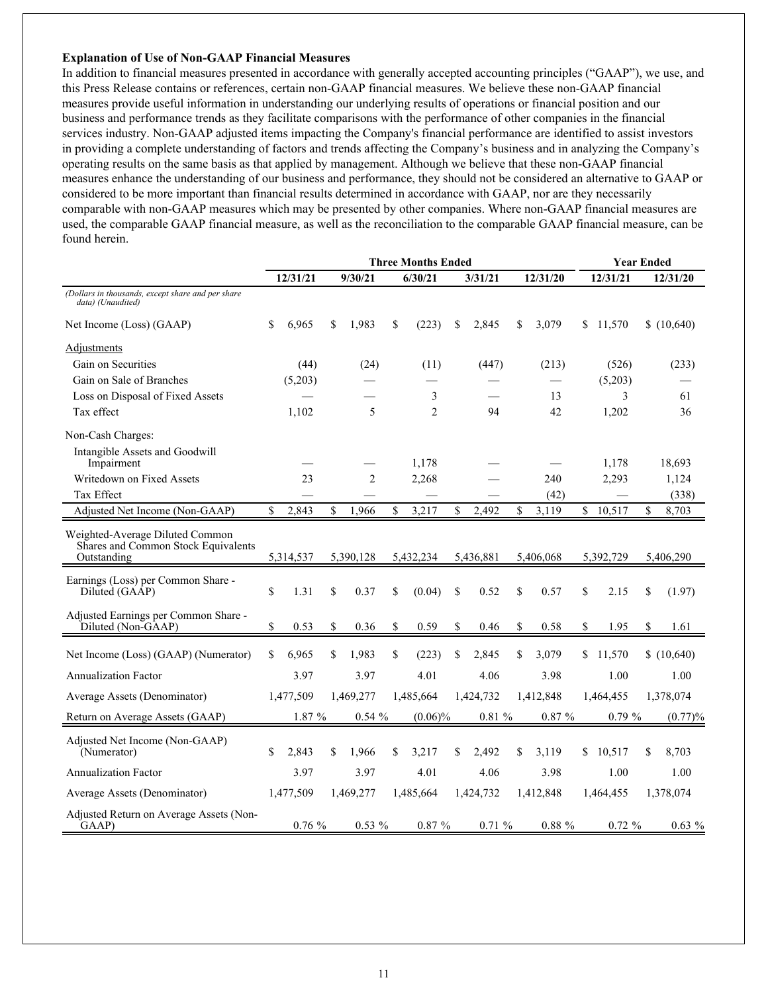#### **Explanation of Use of Non-GAAP Financial Measures**

In addition to financial measures presented in accordance with generally accepted accounting principles ("GAAP"), we use, and this Press Release contains or references, certain non-GAAP financial measures. We believe these non-GAAP financial measures provide useful information in understanding our underlying results of operations or financial position and our business and performance trends as they facilitate comparisons with the performance of other companies in the financial services industry. Non-GAAP adjusted items impacting the Company's financial performance are identified to assist investors in providing a complete understanding of factors and trends affecting the Company's business and in analyzing the Company's operating results on the same basis as that applied by management. Although we believe that these non-GAAP financial measures enhance the understanding of our business and performance, they should not be considered an alternative to GAAP or considered to be more important than financial results determined in accordance with GAAP, nor are they necessarily comparable with non-GAAP measures which may be presented by other companies. Where non-GAAP financial measures are used, the comparable GAAP financial measure, as well as the reconciliation to the comparable GAAP financial measure, can be found herein.

|                                                                                       | <b>Three Months Ended</b> |           |    |                |    |                |    |           |    |           |              | <b>Year Ended</b> |              |
|---------------------------------------------------------------------------------------|---------------------------|-----------|----|----------------|----|----------------|----|-----------|----|-----------|--------------|-------------------|--------------|
|                                                                                       |                           | 12/31/21  |    | 9/30/21        |    | 6/30/21        |    | 3/31/21   |    | 12/31/20  |              | 12/31/21          | 12/31/20     |
| (Dollars in thousands, except share and per share<br>data) (Unaudited)                |                           |           |    |                |    |                |    |           |    |           |              |                   |              |
| Net Income (Loss) (GAAP)                                                              | \$                        | 6,965     | \$ | 1,983          | \$ | (223)          | \$ | 2,845     | \$ | 3,079     |              | \$11,570          | \$(10,640)   |
| Adjustments                                                                           |                           |           |    |                |    |                |    |           |    |           |              |                   |              |
| Gain on Securities                                                                    |                           | (44)      |    | (24)           |    | (11)           |    | (447)     |    | (213)     |              | (526)             | (233)        |
| Gain on Sale of Branches                                                              |                           | (5,203)   |    |                |    |                |    |           |    |           |              | (5,203)           |              |
| Loss on Disposal of Fixed Assets                                                      |                           |           |    |                |    | 3              |    |           |    | 13        |              | 3                 | 61           |
| Tax effect                                                                            |                           | 1,102     |    | 5              |    | $\overline{2}$ |    | 94        |    | 42        |              | 1,202             | 36           |
| Non-Cash Charges:                                                                     |                           |           |    |                |    |                |    |           |    |           |              |                   |              |
| Intangible Assets and Goodwill<br>Impairment                                          |                           |           |    |                |    | 1,178          |    |           |    |           |              | 1,178             | 18,693       |
| Writedown on Fixed Assets                                                             |                           | 23        |    | $\overline{2}$ |    | 2,268          |    |           |    | 240       |              | 2,293             | 1,124        |
| Tax Effect                                                                            |                           |           |    |                |    |                |    |           |    | (42)      |              |                   | (338)        |
| Adjusted Net Income (Non-GAAP)                                                        | \$                        | 2,843     | \$ | 1,966          | \$ | 3,217          | \$ | 2,492     | \$ | 3,119     | $\mathbb{S}$ | 10,517            | \$<br>8,703  |
| Weighted-Average Diluted Common<br>Shares and Common Stock Equivalents<br>Outstanding |                           | 5,314,537 |    | 5,390,128      |    | 5,432,234      |    | 5,436,881 |    | 5,406,068 |              | 5,392,729         | 5,406,290    |
| Earnings (Loss) per Common Share -<br>Diluted (GAAP)                                  | \$                        | 1.31      | \$ | 0.37           | \$ | (0.04)         | \$ | 0.52      | \$ | 0.57      | \$           | 2.15              | \$<br>(1.97) |
| Adjusted Earnings per Common Share -<br>Diluted (Non-GAAP)                            | \$                        | 0.53      | \$ | 0.36           | \$ | 0.59           | \$ | 0.46      | \$ | 0.58      | \$           | 1.95              | \$<br>1.61   |
| Net Income (Loss) (GAAP) (Numerator)                                                  | \$                        | 6,965     | \$ | 1,983          | \$ | (223)          | \$ | 2,845     | \$ | 3,079     |              | \$11,570          | \$(10,640)   |
| <b>Annualization Factor</b>                                                           |                           | 3.97      |    | 3.97           |    | 4.01           |    | 4.06      |    | 3.98      |              | 1.00              | 1.00         |
| Average Assets (Denominator)                                                          |                           | 1,477,509 |    | 1,469,277      |    | 1,485,664      |    | 1,424,732 |    | 1,412,848 |              | 1,464,455         | 1,378,074    |
| Return on Average Assets (GAAP)                                                       |                           | 1.87 %    |    | $0.54 \%$      |    | $(0.06)\%$     |    | 0.81%     |    | $0.87 \%$ |              | $0.79 \%$         | (0.77)%      |
| Adjusted Net Income (Non-GAAP)<br>(Numerator)                                         | \$                        | 2,843     | \$ | 1,966          | \$ | 3,217          | \$ | 2,492     | \$ | 3,119     | \$           | 10,517            | \$<br>8,703  |
| <b>Annualization Factor</b>                                                           |                           | 3.97      |    | 3.97           |    | 4.01           |    | 4.06      |    | 3.98      |              | 1.00              | 1.00         |
| Average Assets (Denominator)                                                          |                           | 1,477,509 |    | 1,469,277      |    | 1,485,664      |    | 1,424,732 |    | 1,412,848 |              | 1,464,455         | 1,378,074    |
| Adjusted Return on Average Assets (Non-<br>GAAP)                                      |                           | 0.76%     |    | 0.53 %         |    | 0.87%          |    | 0.71%     |    | $0.88 \%$ |              | $0.72 \%$         | $0.63\%$     |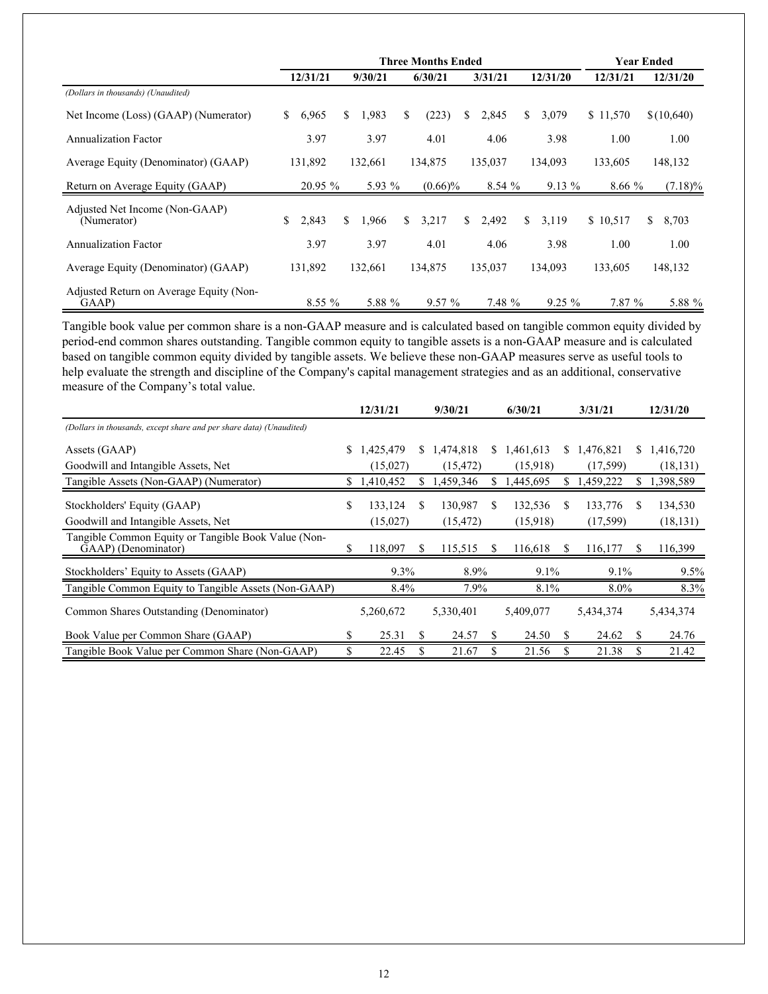|                                                  |             | <b>Three Months Ended</b> |             |             | Year Ended |           |          |             |
|--------------------------------------------------|-------------|---------------------------|-------------|-------------|------------|-----------|----------|-------------|
|                                                  | 12/31/21    | 9/30/21                   | 6/30/21     | 3/31/21     |            | 12/31/20  | 12/31/21 | 12/31/20    |
| (Dollars in thousands) (Unaudited)               |             |                           |             |             |            |           |          |             |
| Net Income (Loss) (GAAP) (Numerator)             | \$<br>6,965 | 1,983<br>S.               | \$<br>(223) | \$<br>2,845 | \$         | 3,079     | \$11,570 | \$(10,640)  |
| <b>Annualization Factor</b>                      | 3.97        | 3.97                      | 4.01        | 4.06        |            | 3.98      | 1.00     | 1.00        |
| Average Equity (Denominator) (GAAP)              | 131,892     | 132,661                   | 134,875     | 135,037     |            | 134,093   | 133,605  | 148,132     |
| Return on Average Equity (GAAP)                  | 20.95 %     | 5.93 %                    | $(0.66)\%$  | 8.54%       |            | $9.13\%$  | 8.66%    | $(7.18)\%$  |
| Adjusted Net Income (Non-GAAP)<br>(Numerator)    | \$<br>2,843 | 1,966<br>\$.              | \$<br>3,217 | \$<br>2,492 | \$         | 3,119     | \$10,517 | \$<br>8,703 |
| <b>Annualization Factor</b>                      | 3.97        | 3.97                      | 4.01        | 4.06        |            | 3.98      | 1.00     | 1.00        |
| Average Equity (Denominator) (GAAP)              | 131,892     | 132,661                   | 134,875     | 135,037     |            | 134,093   | 133,605  | 148,132     |
| Adjusted Return on Average Equity (Non-<br>GAAP) | $8.55\%$    | 5.88 %                    | $9.57\%$    | 7.48 %      |            | $9.25 \%$ | 7.87 %   | 5.88 %      |

Tangible book value per common share is a non-GAAP measure and is calculated based on tangible common equity divided by period-end common shares outstanding. Tangible common equity to tangible assets is a non-GAAP measure and is calculated based on tangible common equity divided by tangible assets. We believe these non-GAAP measures serve as useful tools to help evaluate the strength and discipline of the Company's capital management strategies and as an additional, conservative measure of the Company's total value.

|                                                                            |    | 12/31/21  |    | 9/30/21   |    | 6/30/21     |    | 3/31/21   |     | 12/31/20  |
|----------------------------------------------------------------------------|----|-----------|----|-----------|----|-------------|----|-----------|-----|-----------|
| (Dollars in thousands, except share and per share data) (Unaudited)        |    |           |    |           |    |             |    |           |     |           |
| Assets (GAAP)                                                              | S. | 1,425,479 | S. | 1,474,818 |    | \$1,461,613 | S. | 1,476,821 | S.  | 1,416,720 |
| Goodwill and Intangible Assets, Net                                        |    | (15,027)  |    | (15, 472) |    | (15,918)    |    | (17,599)  |     | (18, 131) |
| Tangible Assets (Non-GAAP) (Numerator)                                     | S  | 1,410,452 | S  | 1,459,346 |    | ,445,695    | S  | 1,459,222 | S   | 1,398,589 |
| Stockholders' Equity (GAAP)                                                | \$ | 133,124   | S  | 130,987   | \$ | 132,536     | \$ | 133,776   | \$. | 134,530   |
| Goodwill and Intangible Assets, Net                                        |    | (15,027)  |    | (15, 472) |    | (15,918)    |    | (17, 599) |     | (18, 131) |
| Tangible Common Equity or Tangible Book Value (Non-<br>GAAP) (Denominator) | \$ | 118,097   | S  | 115,515   | S. | 116,618     | S  | 116,177   | \$. | 116,399   |
| Stockholders' Equity to Assets (GAAP)                                      |    | 9.3%      |    | 8.9%      |    | 9.1%        |    | $9.1\%$   |     | $9.5\%$   |
| Tangible Common Equity to Tangible Assets (Non-GAAP)                       |    | 8.4%      |    | 7.9%      |    | 8.1%        |    | 8.0%      |     | 8.3%      |
| Common Shares Outstanding (Denominator)                                    |    | 5,260,672 |    | 5,330,401 |    | 5,409,077   |    | 5,434,374 |     | 5,434,374 |
| Book Value per Common Share (GAAP)                                         | \$ | 25.31     | S  | 24.57     | S  | 24.50       | S  | 24.62     | S.  | 24.76     |
| Tangible Book Value per Common Share (Non-GAAP)                            | \$ | 22.45     |    | 21.67     |    | 21.56       |    | 21.38     |     | 21.42     |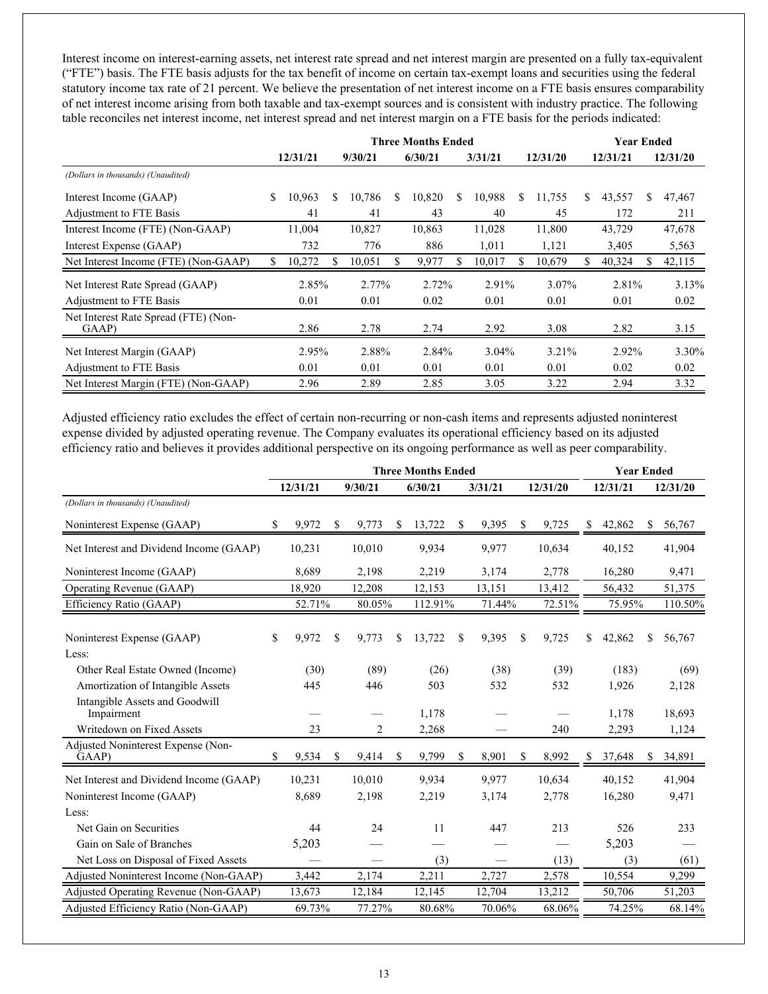Interest income on interest-earning assets, net interest rate spread and net interest margin are presented on a fully tax-equivalent ("FTE") basis. The FTE basis adjusts for the tax benefit of income on certain tax-exempt loans and securities using the federal statutory income tax rate of 21 percent. We believe the presentation of net interest income on a FTE basis ensures comparability of net interest income arising from both taxable and tax-exempt sources and is consistent with industry practice. The following table reconciles net interest income, net interest spread and net interest margin on a FTE basis for the periods indicated:

|                                               |    |          |   | <b>Three Months Ended</b> |   |         | <b>Year Ended</b> |          |    |          |    |          |   |          |
|-----------------------------------------------|----|----------|---|---------------------------|---|---------|-------------------|----------|----|----------|----|----------|---|----------|
|                                               |    | 12/31/21 |   | 9/30/21                   |   | 6/30/21 |                   | 3/31/21  |    | 12/31/20 |    | 12/31/21 |   | 12/31/20 |
| (Dollars in thousands) (Unaudited)            |    |          |   |                           |   |         |                   |          |    |          |    |          |   |          |
| Interest Income (GAAP)                        | S. | 10,963   | S | 10,786                    | S | 10,820  | S                 | 10,988   | \$ | 11,755   | S. | 43,557   | S | 47,467   |
| Adjustment to FTE Basis                       |    | 41       |   | 41                        |   | 43      |                   | 40       |    | 45       |    | 172      |   | 211      |
| Interest Income (FTE) (Non-GAAP)              |    | 11,004   |   | 10,827                    |   | 10,863  |                   | 11,028   |    | 11,800   |    | 43,729   |   | 47,678   |
| Interest Expense (GAAP)                       |    | 732      |   | 776                       |   | 886     |                   | 1,011    |    | 1,121    |    | 3,405    |   | 5,563    |
| Net Interest Income (FTE) (Non-GAAP)          | \$ | 10,272   |   | 10,051                    |   | 9,977   | S                 | 10,017   | S. | 10,679   |    | 40,324   |   | 42,115   |
| Net Interest Rate Spread (GAAP)               |    | 2.85%    |   | 2.77%                     |   | 2.72%   |                   | 2.91%    |    | 3.07%    |    | 2.81%    |   | 3.13%    |
| Adjustment to FTE Basis                       |    | 0.01     |   | 0.01                      |   | 0.02    |                   | 0.01     |    | 0.01     |    | 0.01     |   | 0.02     |
| Net Interest Rate Spread (FTE) (Non-<br>GAAP) |    | 2.86     |   | 2.78                      |   | 2.74    |                   | 2.92     |    | 3.08     |    | 2.82     |   | 3.15     |
| Net Interest Margin (GAAP)                    |    | 2.95%    |   | 2.88%                     |   | 2.84%   |                   | $3.04\%$ |    | 3.21%    |    | 2.92%    |   | 3.30%    |
| Adjustment to FTE Basis                       |    | 0.01     |   | 0.01                      |   | 0.01    |                   | 0.01     |    | 0.01     |    | 0.02     |   | 0.02     |
| Net Interest Margin (FTE) (Non-GAAP)          |    | 2.96     |   | 2.89                      |   | 2.85    |                   | 3.05     |    | 3.22     |    | 2.94     |   | 3.32     |

Adjusted efficiency ratio excludes the effect of certain non-recurring or non-cash items and represents adjusted noninterest expense divided by adjusted operating revenue. The Company evaluates its operational efficiency based on its adjusted efficiency ratio and believes it provides additional perspective on its ongoing performance as well as peer comparability.

|                                              | <b>Three Months Ended</b> |          |    |         |               |         |    |         |    |          |    | <b>Year Ended</b> |    |          |
|----------------------------------------------|---------------------------|----------|----|---------|---------------|---------|----|---------|----|----------|----|-------------------|----|----------|
|                                              |                           | 12/31/21 |    | 9/30/21 |               | 6/30/21 |    | 3/31/21 |    | 12/31/20 |    | 12/31/21          |    | 12/31/20 |
| (Dollars in thousands) (Unaudited)           |                           |          |    |         |               |         |    |         |    |          |    |                   |    |          |
| Noninterest Expense (GAAP)                   | \$                        | 9,972    | S. | 9,773   | <sup>\$</sup> | 13,722  | S  | 9,395   | S. | 9,725    | S  | 42,862            | S. | 56,767   |
| Net Interest and Dividend Income (GAAP)      |                           | 10,231   |    | 10,010  |               | 9,934   |    | 9,977   |    | 10,634   |    | 40,152            |    | 41,904   |
| Noninterest Income (GAAP)                    |                           | 8,689    |    | 2,198   |               | 2,219   |    | 3,174   |    | 2,778    |    | 16,280            |    | 9,471    |
| Operating Revenue (GAAP)                     |                           | 18,920   |    | 12,208  |               | 12,153  |    | 13,151  |    | 13,412   |    | 56,432            |    | 51,375   |
| Efficiency Ratio (GAAP)                      |                           | 52.71%   |    | 80.05%  |               | 112.91% |    | 71.44%  |    | 72.51%   |    | 75.95%            |    | 110.50%  |
| Noninterest Expense (GAAP)                   | \$                        | 9,972    | \$ | 9,773   | \$            | 13,722  | \$ | 9,395   | \$ | 9,725    | \$ | 42,862            | S  | 56,767   |
| Less:                                        |                           |          |    |         |               |         |    |         |    |          |    |                   |    |          |
| Other Real Estate Owned (Income)             |                           | (30)     |    | (89)    |               | (26)    |    | (38)    |    | (39)     |    | (183)             |    | (69)     |
| Amortization of Intangible Assets            |                           | 445      |    | 446     |               | 503     |    | 532     |    | 532      |    | 1,926             |    | 2,128    |
| Intangible Assets and Goodwill<br>Impairment |                           |          |    |         |               | 1,178   |    |         |    |          |    | 1,178             |    | 18,693   |
| Writedown on Fixed Assets                    |                           | 23       |    | 2       |               | 2,268   |    |         |    | 240      |    | 2,293             |    | 1,124    |
| Adjusted Noninterest Expense (Non-<br>GAAP)  |                           | 9,534    | S  | 9,414   | S             | 9,799   | S  | 8,901   | S  | 8,992    |    | 37,648            | S  | 34,891   |
| Net Interest and Dividend Income (GAAP)      |                           | 10,231   |    | 10,010  |               | 9,934   |    | 9,977   |    | 10,634   |    | 40,152            |    | 41,904   |
| Noninterest Income (GAAP)                    |                           | 8,689    |    | 2,198   |               | 2,219   |    | 3,174   |    | 2,778    |    | 16,280            |    | 9,471    |
| Less:                                        |                           |          |    |         |               |         |    |         |    |          |    |                   |    |          |
| Net Gain on Securities                       |                           | 44       |    | 24      |               | 11      |    | 447     |    | 213      |    | 526               |    | 233      |
| Gain on Sale of Branches                     |                           | 5,203    |    |         |               |         |    |         |    |          |    | 5,203             |    |          |
| Net Loss on Disposal of Fixed Assets         |                           |          |    |         |               | (3)     |    |         |    | (13)     |    | (3)               |    | (61)     |
| Adjusted Noninterest Income (Non-GAAP)       |                           | 3,442    |    | 2,174   |               | 2,211   |    | 2,727   |    | 2,578    |    | 10,554            |    | 9,299    |
| Adjusted Operating Revenue (Non-GAAP)        |                           | 13,673   |    | 12,184  |               | 12,145  |    | 12,704  |    | 13,212   |    | 50,706            |    | 51,203   |
| Adjusted Efficiency Ratio (Non-GAAP)         |                           | 69.73%   |    | 77.27%  |               | 80.68%  |    | 70.06%  |    | 68.06%   |    | 74.25%            |    | 68.14%   |